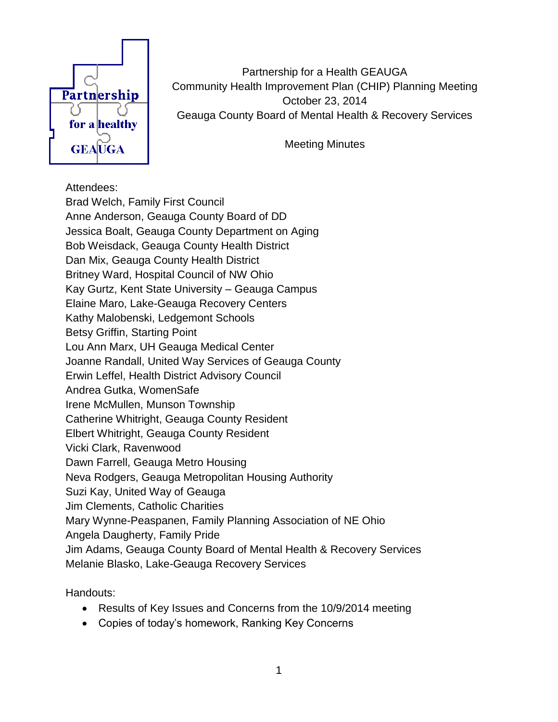

Partnership for a Health GEAUGA Community Health Improvement Plan (CHIP) Planning Meeting October 23, 2014 Geauga County Board of Mental Health & Recovery Services

Meeting Minutes

## Attendees:

Brad Welch, Family First Council Anne Anderson, Geauga County Board of DD Jessica Boalt, Geauga County Department on Aging Bob Weisdack, Geauga County Health District Dan Mix, Geauga County Health District Britney Ward, Hospital Council of NW Ohio Kay Gurtz, Kent State University – Geauga Campus Elaine Maro, Lake-Geauga Recovery Centers Kathy Malobenski, Ledgemont Schools Betsy Griffin, Starting Point Lou Ann Marx, UH Geauga Medical Center Joanne Randall, United Way Services of Geauga County Erwin Leffel, Health District Advisory Council Andrea Gutka, WomenSafe Irene McMullen, Munson Township Catherine Whitright, Geauga County Resident Elbert Whitright, Geauga County Resident Vicki Clark, Ravenwood Dawn Farrell, Geauga Metro Housing Neva Rodgers, Geauga Metropolitan Housing Authority Suzi Kay, United Way of Geauga Jim Clements, Catholic Charities Mary Wynne-Peaspanen, Family Planning Association of NE Ohio Angela Daugherty, Family Pride Jim Adams, Geauga County Board of Mental Health & Recovery Services Melanie Blasko, Lake-Geauga Recovery Services

Handouts:

- Results of Key Issues and Concerns from the 10/9/2014 meeting
- Copies of today's homework, Ranking Key Concerns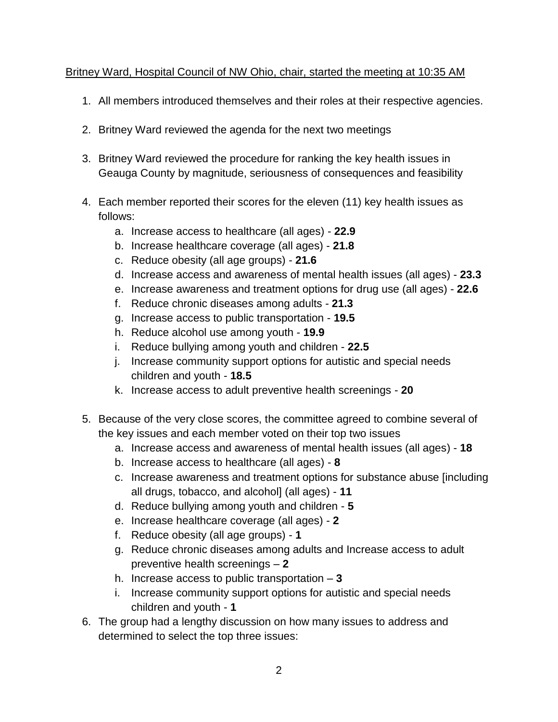## Britney Ward, Hospital Council of NW Ohio, chair, started the meeting at 10:35 AM

- 1. All members introduced themselves and their roles at their respective agencies.
- 2. Britney Ward reviewed the agenda for the next two meetings
- 3. Britney Ward reviewed the procedure for ranking the key health issues in Geauga County by magnitude, seriousness of consequences and feasibility
- 4. Each member reported their scores for the eleven (11) key health issues as follows:
	- a. Increase access to healthcare (all ages) **22.9**
	- b. Increase healthcare coverage (all ages) **21.8**
	- c. Reduce obesity (all age groups) **21.6**
	- d. Increase access and awareness of mental health issues (all ages) **23.3**
	- e. Increase awareness and treatment options for drug use (all ages) **22.6**
	- f. Reduce chronic diseases among adults **21.3**
	- g. Increase access to public transportation **19.5**
	- h. Reduce alcohol use among youth **19.9**
	- i. Reduce bullying among youth and children **22.5**
	- j. Increase community support options for autistic and special needs children and youth - **18.5**
	- k. Increase access to adult preventive health screenings **20**
- 5. Because of the very close scores, the committee agreed to combine several of the key issues and each member voted on their top two issues
	- a. Increase access and awareness of mental health issues (all ages) **18**
	- b. Increase access to healthcare (all ages) **8**
	- c. Increase awareness and treatment options for substance abuse [including all drugs, tobacco, and alcohol] (all ages) - **11**
	- d. Reduce bullying among youth and children **5**
	- e. Increase healthcare coverage (all ages) **2**
	- f. Reduce obesity (all age groups) **1**
	- g. Reduce chronic diseases among adults and Increase access to adult preventive health screenings – **2**
	- h. Increase access to public transportation **3**
	- i. Increase community support options for autistic and special needs children and youth - **1**
- 6. The group had a lengthy discussion on how many issues to address and determined to select the top three issues: